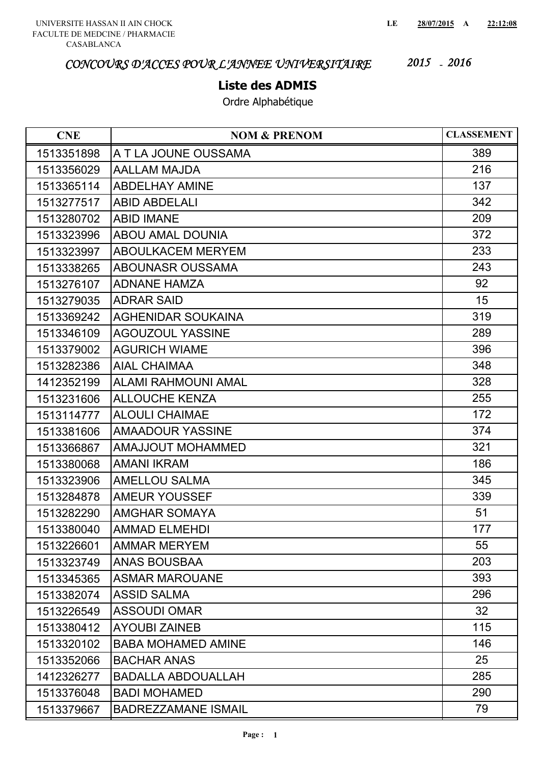#### **Liste des ADMIS**

| <b>CNE</b> | <b>NOM &amp; PRENOM</b>    | <b>CLASSEMENT</b> |
|------------|----------------------------|-------------------|
| 1513351898 | A T LA JOUNE OUSSAMA       | 389               |
| 1513356029 | <b>AALLAM MAJDA</b>        | 216               |
| 1513365114 | <b>ABDELHAY AMINE</b>      | 137               |
| 1513277517 | <b>ABID ABDELALI</b>       | 342               |
| 1513280702 | <b>ABID IMANE</b>          | 209               |
| 1513323996 | <b>ABOU AMAL DOUNIA</b>    | 372               |
| 1513323997 | <b>ABOULKACEM MERYEM</b>   | 233               |
| 1513338265 | <b>ABOUNASR OUSSAMA</b>    | 243               |
| 1513276107 | <b>ADNANE HAMZA</b>        | 92                |
| 1513279035 | <b>ADRAR SAID</b>          | 15                |
| 1513369242 | <b>AGHENIDAR SOUKAINA</b>  | 319               |
| 1513346109 | <b>AGOUZOUL YASSINE</b>    | 289               |
| 1513379002 | <b>AGURICH WIAME</b>       | 396               |
| 1513282386 | <b>AIAL CHAIMAA</b>        | 348               |
| 1412352199 | <b>ALAMI RAHMOUNI AMAL</b> | 328               |
| 1513231606 | <b>ALLOUCHE KENZA</b>      | 255               |
| 1513114777 | <b>ALOULI CHAIMAE</b>      | 172               |
| 1513381606 | <b>AMAADOUR YASSINE</b>    | 374               |
| 1513366867 | <b>AMAJJOUT MOHAMMED</b>   | 321               |
| 1513380068 | <b>AMANI IKRAM</b>         | 186               |
| 1513323906 | <b>AMELLOU SALMA</b>       | 345               |
| 1513284878 | <b>AMEUR YOUSSEF</b>       | 339               |
| 1513282290 | <b>AMGHAR SOMAYA</b>       | 51                |
| 1513380040 | <b>AMMAD ELMEHDI</b>       | 177               |
| 1513226601 | <b>AMMAR MERYEM</b>        | 55                |
| 1513323749 | <b>ANAS BOUSBAA</b>        | 203               |
| 1513345365 | <b>ASMAR MAROUANE</b>      | 393               |
| 1513382074 | <b>ASSID SALMA</b>         | 296               |
| 1513226549 | <b>ASSOUDI OMAR</b>        | 32                |
| 1513380412 | <b>AYOUBI ZAINEB</b>       | 115               |
| 1513320102 | <b>BABA MOHAMED AMINE</b>  | 146               |
| 1513352066 | <b>BACHAR ANAS</b>         | 25                |
| 1412326277 | <b>BADALLA ABDOUALLAH</b>  | 285               |
| 1513376048 | <b>BADI MOHAMED</b>        | 290               |
| 1513379667 | <b>BADREZZAMANE ISMAIL</b> | 79                |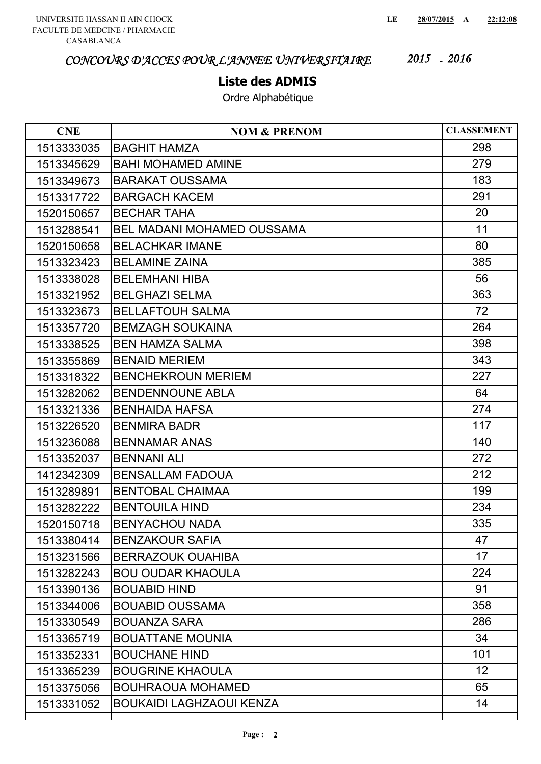### **Liste des ADMIS**

| <b>CNE</b> | <b>NOM &amp; PRENOM</b>           | <b>CLASSEMENT</b> |
|------------|-----------------------------------|-------------------|
| 1513333035 | <b>BAGHIT HAMZA</b>               | 298               |
| 1513345629 | <b>BAHI MOHAMED AMINE</b>         | 279               |
| 1513349673 | <b>BARAKAT OUSSAMA</b>            | 183               |
| 1513317722 | <b>BARGACH KACEM</b>              | 291               |
| 1520150657 | <b>BECHAR TAHA</b>                | 20                |
| 1513288541 | <b>BEL MADANI MOHAMED OUSSAMA</b> | 11                |
| 1520150658 | <b>BELACHKAR IMANE</b>            | 80                |
| 1513323423 | <b>BELAMINE ZAINA</b>             | 385               |
| 1513338028 | <b>BELEMHANI HIBA</b>             | 56                |
| 1513321952 | <b>BELGHAZI SELMA</b>             | 363               |
| 1513323673 | <b>BELLAFTOUH SALMA</b>           | 72                |
| 1513357720 | <b>BEMZAGH SOUKAINA</b>           | 264               |
| 1513338525 | <b>BEN HAMZA SALMA</b>            | 398               |
| 1513355869 | <b>BENAID MERIEM</b>              | 343               |
| 1513318322 | <b>BENCHEKROUN MERIEM</b>         | 227               |
| 1513282062 | <b>BENDENNOUNE ABLA</b>           | 64                |
| 1513321336 | <b>BENHAIDA HAFSA</b>             | 274               |
| 1513226520 | <b>BENMIRA BADR</b>               | 117               |
| 1513236088 | <b>BENNAMAR ANAS</b>              | 140               |
| 1513352037 | <b>BENNANI ALI</b>                | 272               |
| 1412342309 | <b>BENSALLAM FADOUA</b>           | 212               |
| 1513289891 | <b>BENTOBAL CHAIMAA</b>           | 199               |
| 1513282222 | <b>BENTOUILA HIND</b>             | 234               |
| 1520150718 | <b>BENYACHOU NADA</b>             | 335               |
| 1513380414 | <b>BENZAKOUR SAFIA</b>            | 47                |
| 1513231566 | <b>BERRAZOUK OUAHIBA</b>          | 17                |
| 1513282243 | <b>BOU OUDAR KHAOULA</b>          | 224               |
| 1513390136 | <b>BOUABID HIND</b>               | 91                |
| 1513344006 | <b>BOUABID OUSSAMA</b>            | 358               |
| 1513330549 | <b>BOUANZA SARA</b>               | 286               |
| 1513365719 | <b>BOUATTANE MOUNIA</b>           | 34                |
| 1513352331 | <b>BOUCHANE HIND</b>              | 101               |
| 1513365239 | <b>BOUGRINE KHAOULA</b>           | 12                |
| 1513375056 | <b>BOUHRAOUA MOHAMED</b>          | 65                |
| 1513331052 | <b>BOUKAIDI LAGHZAOUI KENZA</b>   | 14                |
|            |                                   |                   |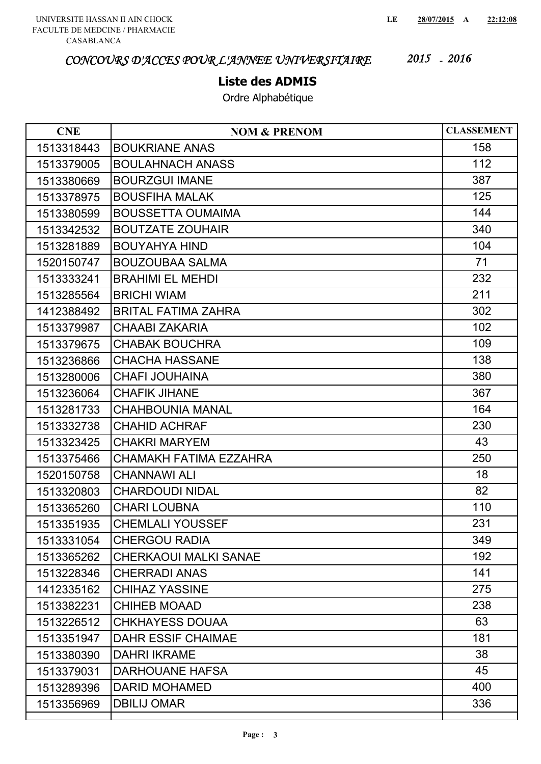#### **Liste des ADMIS**

| <b>CNE</b> | <b>NOM &amp; PRENOM</b>      | <b>CLASSEMENT</b> |
|------------|------------------------------|-------------------|
| 1513318443 | <b>BOUKRIANE ANAS</b>        | 158               |
| 1513379005 | <b>BOULAHNACH ANASS</b>      | 112               |
| 1513380669 | <b>BOURZGUI IMANE</b>        | 387               |
| 1513378975 | <b>BOUSFIHA MALAK</b>        | 125               |
| 1513380599 | <b>BOUSSETTA OUMAIMA</b>     | 144               |
| 1513342532 | <b>BOUTZATE ZOUHAIR</b>      | 340               |
| 1513281889 | <b>BOUYAHYA HIND</b>         | 104               |
| 1520150747 | <b>BOUZOUBAA SALMA</b>       | 71                |
| 1513333241 | <b>BRAHIMI EL MEHDI</b>      | 232               |
| 1513285564 | <b>BRICHI WIAM</b>           | 211               |
| 1412388492 | <b>BRITAL FATIMA ZAHRA</b>   | 302               |
| 1513379987 | <b>CHAABI ZAKARIA</b>        | 102               |
| 1513379675 | <b>CHABAK BOUCHRA</b>        | 109               |
| 1513236866 | <b>CHACHA HASSANE</b>        | 138               |
| 1513280006 | <b>CHAFI JOUHAINA</b>        | 380               |
| 1513236064 | <b>CHAFIK JIHANE</b>         | 367               |
| 1513281733 | <b>CHAHBOUNIA MANAL</b>      | 164               |
| 1513332738 | <b>CHAHID ACHRAF</b>         | 230               |
| 1513323425 | <b>CHAKRI MARYEM</b>         | 43                |
| 1513375466 | CHAMAKH FATIMA EZZAHRA       | 250               |
| 1520150758 | <b>CHANNAWI ALI</b>          | 18                |
| 1513320803 | <b>CHARDOUDI NIDAL</b>       | 82                |
| 1513365260 | <b>CHARI LOUBNA</b>          | 110               |
| 1513351935 | <b>CHEMLALI YOUSSEF</b>      | 231               |
| 1513331054 | <b>CHERGOU RADIA</b>         | 349               |
| 1513365262 | <b>CHERKAOUI MALKI SANAE</b> | 192               |
| 1513228346 | <b>CHERRADI ANAS</b>         | 141               |
| 1412335162 | <b>CHIHAZ YASSINE</b>        | 275               |
| 1513382231 | <b>CHIHEB MOAAD</b>          | 238               |
| 1513226512 | <b>CHKHAYESS DOUAA</b>       | 63                |
| 1513351947 | <b>DAHR ESSIF CHAIMAE</b>    | 181               |
| 1513380390 | <b>DAHRI IKRAME</b>          | 38                |
| 1513379031 | <b>DARHOUANE HAFSA</b>       | 45                |
| 1513289396 | <b>DARID MOHAMED</b>         | 400               |
| 1513356969 | <b>DBILIJ OMAR</b>           | 336               |
|            |                              |                   |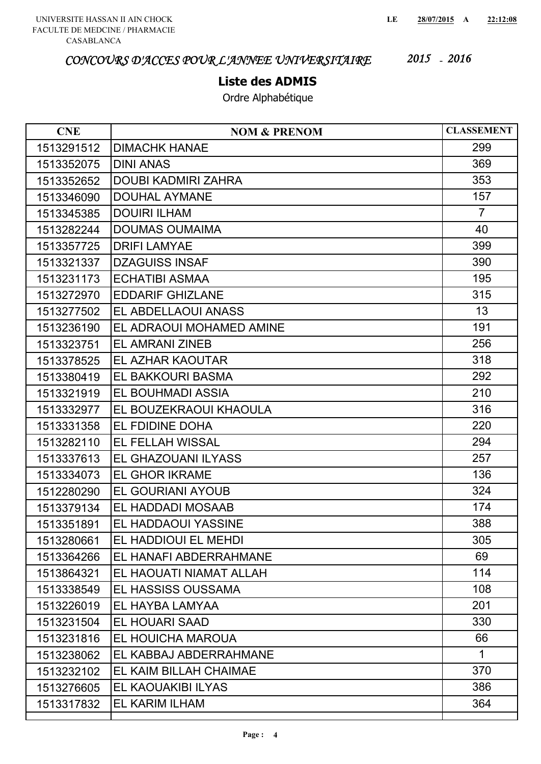### **Liste des ADMIS**

| <b>CNE</b> | <b>NOM &amp; PRENOM</b>    | <b>CLASSEMENT</b> |
|------------|----------------------------|-------------------|
| 1513291512 | <b>DIMACHK HANAE</b>       | 299               |
| 1513352075 | <b>DINI ANAS</b>           | 369               |
| 1513352652 | <b>DOUBI KADMIRI ZAHRA</b> | 353               |
| 1513346090 | <b>DOUHAL AYMANE</b>       | 157               |
| 1513345385 | <b>DOUIRI ILHAM</b>        | $\overline{7}$    |
| 1513282244 | <b>DOUMAS OUMAIMA</b>      | 40                |
| 1513357725 | <b>DRIFI LAMYAE</b>        | 399               |
| 1513321337 | <b>DZAGUISS INSAF</b>      | 390               |
| 1513231173 | <b>ECHATIBI ASMAA</b>      | 195               |
| 1513272970 | <b>EDDARIF GHIZLANE</b>    | 315               |
| 1513277502 | EL ABDELLAOUI ANASS        | 13                |
| 1513236190 | EL ADRAOUI MOHAMED AMINE   | 191               |
| 1513323751 | <b>EL AMRANI ZINEB</b>     | 256               |
| 1513378525 | EL AZHAR KAOUTAR           | 318               |
| 1513380419 | EL BAKKOURI BASMA          | 292               |
| 1513321919 | EL BOUHMADI ASSIA          | 210               |
| 1513332977 | EL BOUZEKRAOUI KHAOULA     | 316               |
| 1513331358 | EL FDIDINE DOHA            | 220               |
| 1513282110 | EL FELLAH WISSAL           | 294               |
| 1513337613 | EL GHAZOUANI ILYASS        | 257               |
| 1513334073 | <b>EL GHOR IKRAME</b>      | 136               |
| 1512280290 | EL GOURIANI AYOUB          | 324               |
| 1513379134 | EL HADDADI MOSAAB          | 174               |
| 1513351891 | EL HADDAOUI YASSINE        | 388               |
| 1513280661 | EL HADDIOUI EL MEHDI       | 305               |
| 1513364266 | EL HANAFI ABDERRAHMANE     | 69                |
| 1513864321 | EL HAOUATI NIAMAT ALLAH    | 114               |
| 1513338549 | EL HASSISS OUSSAMA         | 108               |
| 1513226019 | EL HAYBA LAMYAA            | 201               |
| 1513231504 | <b>EL HOUARI SAAD</b>      | 330               |
| 1513231816 | EL HOUICHA MAROUA          | 66                |
| 1513238062 | EL KABBAJ ABDERRAHMANE     | $\mathbf{1}$      |
| 1513232102 | EL KAIM BILLAH CHAIMAE     | 370               |
| 1513276605 | EL KAOUAKIBI ILYAS         | 386               |
| 1513317832 | EL KARIM ILHAM             | 364               |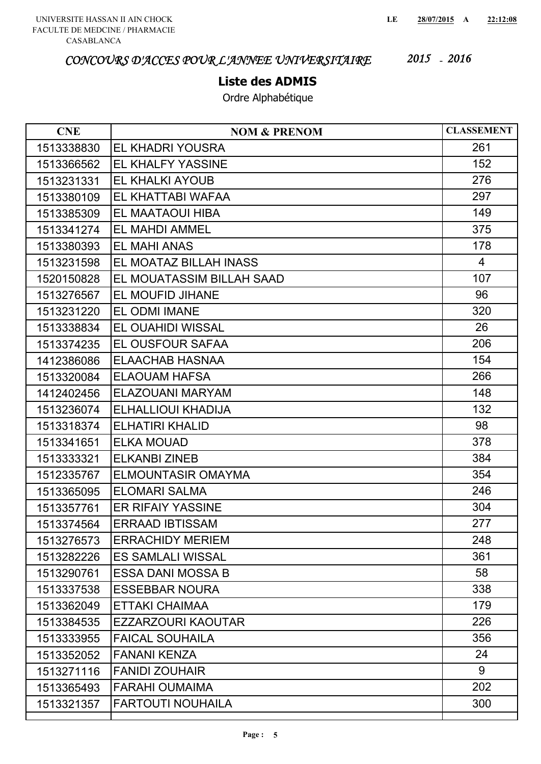### **Liste des ADMIS**

| <b>CNE</b> | <b>NOM &amp; PRENOM</b>   | <b>CLASSEMENT</b> |
|------------|---------------------------|-------------------|
| 1513338830 | EL KHADRI YOUSRA          | 261               |
| 1513366562 | EL KHALFY YASSINE         | 152               |
| 1513231331 | EL KHALKI AYOUB           | 276               |
| 1513380109 | EL KHATTABI WAFAA         | 297               |
| 1513385309 | EL MAATAOUI HIBA          | 149               |
| 1513341274 | <b>EL MAHDI AMMEL</b>     | 375               |
| 1513380393 | <b>EL MAHI ANAS</b>       | 178               |
| 1513231598 | EL MOATAZ BILLAH INASS    | 4                 |
| 1520150828 | EL MOUATASSIM BILLAH SAAD | 107               |
| 1513276567 | EL MOUFID JIHANE          | 96                |
| 1513231220 | EL ODMI IMANE             | 320               |
| 1513338834 | EL OUAHIDI WISSAL         | 26                |
| 1513374235 | EL OUSFOUR SAFAA          | 206               |
| 1412386086 | <b>ELAACHAB HASNAA</b>    | 154               |
| 1513320084 | <b>ELAOUAM HAFSA</b>      | 266               |
| 1412402456 | ELAZOUANI MARYAM          | 148               |
| 1513236074 | ELHALLIOUI KHADIJA        | 132               |
| 1513318374 | <b>ELHATIRI KHALID</b>    | 98                |
| 1513341651 | <b>ELKA MOUAD</b>         | 378               |
| 1513333321 | <b>ELKANBI ZINEB</b>      | 384               |
| 1512335767 | <b>ELMOUNTASIR OMAYMA</b> | 354               |
| 1513365095 | <b>ELOMARI SALMA</b>      | 246               |
| 1513357761 | <b>ER RIFAIY YASSINE</b>  | 304               |
| 1513374564 | <b>ERRAAD IBTISSAM</b>    | 277               |
| 1513276573 | <b>ERRACHIDY MERIEM</b>   | 248               |
| 1513282226 | <b>ES SAMLALI WISSAL</b>  | 361               |
| 1513290761 | <b>ESSA DANI MOSSA B</b>  | 58                |
| 1513337538 | <b>ESSEBBAR NOURA</b>     | 338               |
| 1513362049 | ETTAKI CHAIMAA            | 179               |
| 1513384535 | <b>EZZARZOURI KAOUTAR</b> | 226               |
| 1513333955 | <b>FAICAL SOUHAILA</b>    | 356               |
| 1513352052 | <b>FANANI KENZA</b>       | 24                |
| 1513271116 | <b>FANIDI ZOUHAIR</b>     | 9                 |
| 1513365493 | <b>FARAHI OUMAIMA</b>     | 202               |
| 1513321357 | <b>FARTOUTI NOUHAILA</b>  | 300               |
|            |                           |                   |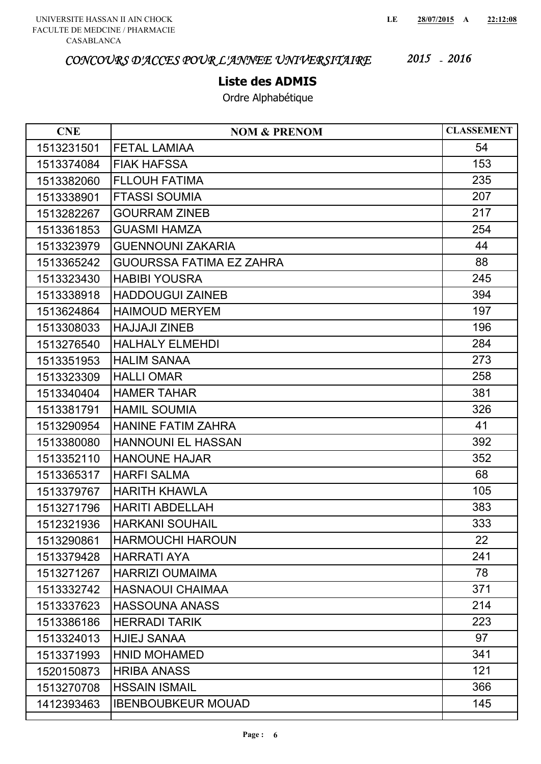### **Liste des ADMIS**

| <b>CNE</b> | <b>NOM &amp; PRENOM</b>         | <b>CLASSEMENT</b> |
|------------|---------------------------------|-------------------|
| 1513231501 | <b>FETAL LAMIAA</b>             | 54                |
| 1513374084 | <b>FIAK HAFSSA</b>              | 153               |
| 1513382060 | <b>FLLOUH FATIMA</b>            | 235               |
| 1513338901 | <b>FTASSI SOUMIA</b>            | 207               |
| 1513282267 | <b>GOURRAM ZINEB</b>            | 217               |
| 1513361853 | <b>GUASMI HAMZA</b>             | 254               |
| 1513323979 | <b>GUENNOUNI ZAKARIA</b>        | 44                |
| 1513365242 | <b>GUOURSSA FATIMA EZ ZAHRA</b> | 88                |
| 1513323430 | <b>HABIBI YOUSRA</b>            | 245               |
| 1513338918 | <b>HADDOUGUI ZAINEB</b>         | 394               |
| 1513624864 | <b>HAIMOUD MERYEM</b>           | 197               |
| 1513308033 | <b>HAJJAJI ZINEB</b>            | 196               |
| 1513276540 | <b>HALHALY ELMEHDI</b>          | 284               |
| 1513351953 | <b>HALIM SANAA</b>              | 273               |
| 1513323309 | <b>HALLI OMAR</b>               | 258               |
| 1513340404 | <b>HAMER TAHAR</b>              | 381               |
| 1513381791 | <b>HAMIL SOUMIA</b>             | 326               |
| 1513290954 | <b>HANINE FATIM ZAHRA</b>       | 41                |
| 1513380080 | <b>HANNOUNI EL HASSAN</b>       | 392               |
| 1513352110 | <b>HANOUNE HAJAR</b>            | 352               |
| 1513365317 | <b>HARFI SALMA</b>              | 68                |
| 1513379767 | <b>HARITH KHAWLA</b>            | 105               |
| 1513271796 | <b>HARITI ABDELLAH</b>          | 383               |
| 1512321936 | <b>HARKANI SOUHAIL</b>          | 333               |
| 1513290861 | <b>HARMOUCHI HAROUN</b>         | 22                |
| 1513379428 | <b>HARRATI AYA</b>              | 241               |
| 1513271267 | <b>HARRIZI OUMAIMA</b>          | 78                |
| 1513332742 | <b>HASNAOUI CHAIMAA</b>         | 371               |
| 1513337623 | <b>HASSOUNA ANASS</b>           | 214               |
| 1513386186 | <b>HERRADI TARIK</b>            | 223               |
| 1513324013 | <b>HJIEJ SANAA</b>              | 97                |
| 1513371993 | <b>HNID MOHAMED</b>             | 341               |
| 1520150873 | <b>HRIBA ANASS</b>              | 121               |
| 1513270708 | <b>HSSAIN ISMAIL</b>            | 366               |
| 1412393463 | <b>IBENBOUBKEUR MOUAD</b>       | 145               |
|            |                                 |                   |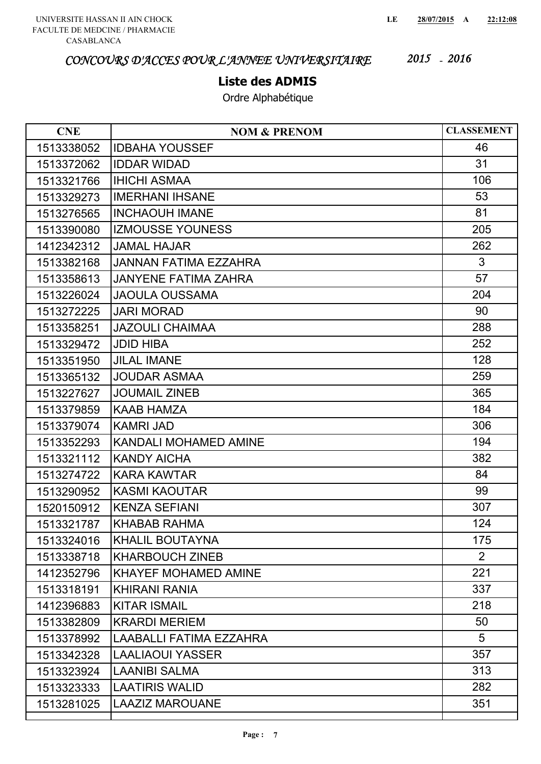### **Liste des ADMIS**

| <b>CNE</b> | <b>NOM &amp; PRENOM</b>        | <b>CLASSEMENT</b> |
|------------|--------------------------------|-------------------|
| 1513338052 | <b>IDBAHA YOUSSEF</b>          | 46                |
| 1513372062 | <b>IDDAR WIDAD</b>             | 31                |
| 1513321766 | <b>IHICHI ASMAA</b>            | 106               |
| 1513329273 | <b>IMERHANI IHSANE</b>         | 53                |
| 1513276565 | <b>INCHAOUH IMANE</b>          | 81                |
| 1513390080 | <b>IZMOUSSE YOUNESS</b>        | 205               |
| 1412342312 | <b>JAMAL HAJAR</b>             | 262               |
| 1513382168 | JANNAN FATIMA EZZAHRA          | 3                 |
| 1513358613 | <b>JANYENE FATIMA ZAHRA</b>    | 57                |
| 1513226024 | <b>JAOULA OUSSAMA</b>          | 204               |
| 1513272225 | <b>JARI MORAD</b>              | 90                |
| 1513358251 | <b>JAZOULI CHAIMAA</b>         | 288               |
| 1513329472 | <b>JDID HIBA</b>               | 252               |
| 1513351950 | <b>JILAL IMANE</b>             | 128               |
| 1513365132 | <b>JOUDAR ASMAA</b>            | 259               |
| 1513227627 | <b>JOUMAIL ZINEB</b>           | 365               |
| 1513379859 | <b>KAAB HAMZA</b>              | 184               |
| 1513379074 | <b>KAMRI JAD</b>               | 306               |
| 1513352293 | <b>KANDALI MOHAMED AMINE</b>   | 194               |
| 1513321112 | <b>KANDY AICHA</b>             | 382               |
| 1513274722 | <b>KARA KAWTAR</b>             | 84                |
| 1513290952 | <b>KASMI KAOUTAR</b>           | 99                |
| 1520150912 | <b>KENZA SEFIANI</b>           | 307               |
| 1513321787 | KHABAB RAHMA                   | 124               |
| 1513324016 | <b>KHALIL BOUTAYNA</b>         | 175               |
| 1513338718 | <b>KHARBOUCH ZINEB</b>         | $\overline{2}$    |
| 1412352796 | <b>KHAYEF MOHAMED AMINE</b>    | 221               |
| 1513318191 | <b>KHIRANI RANIA</b>           | 337               |
| 1412396883 | <b>KITAR ISMAIL</b>            | 218               |
| 1513382809 | <b>KRARDI MERIEM</b>           | 50                |
| 1513378992 | <b>LAABALLI FATIMA EZZAHRA</b> | 5                 |
| 1513342328 | <b>LAALIAOUI YASSER</b>        | 357               |
| 1513323924 | <b>LAANIBI SALMA</b>           | 313               |
| 1513323333 | <b>LAATIRIS WALID</b>          | 282               |
| 1513281025 | <b>LAAZIZ MAROUANE</b>         | 351               |
|            |                                |                   |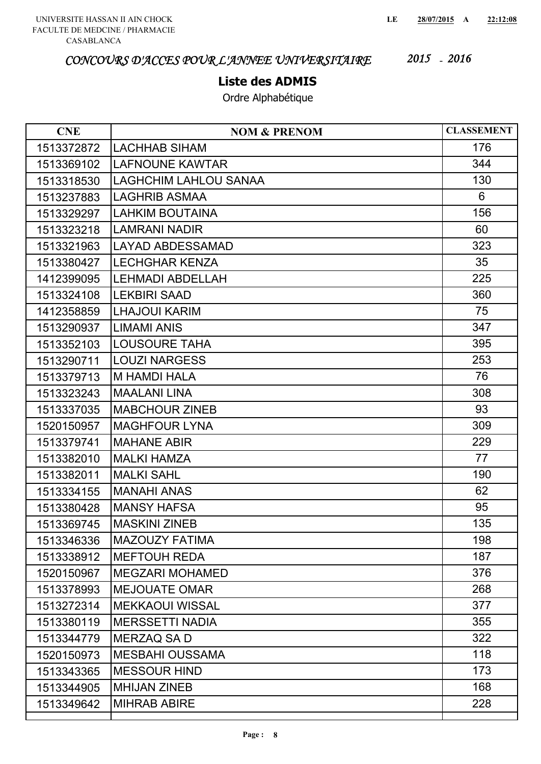### **Liste des ADMIS**

| <b>CNE</b> | <b>NOM &amp; PRENOM</b>      | <b>CLASSEMENT</b> |
|------------|------------------------------|-------------------|
| 1513372872 | <b>LACHHAB SIHAM</b>         | 176               |
| 1513369102 | <b>LAFNOUNE KAWTAR</b>       | 344               |
| 1513318530 | <b>LAGHCHIM LAHLOU SANAA</b> | 130               |
| 1513237883 | <b>LAGHRIB ASMAA</b>         | 6                 |
| 1513329297 | <b>LAHKIM BOUTAINA</b>       | 156               |
| 1513323218 | <b>LAMRANI NADIR</b>         | 60                |
| 1513321963 | <b>LAYAD ABDESSAMAD</b>      | 323               |
| 1513380427 | <b>LECHGHAR KENZA</b>        | 35                |
| 1412399095 | <b>LEHMADI ABDELLAH</b>      | 225               |
| 1513324108 | <b>LEKBIRI SAAD</b>          | 360               |
| 1412358859 | <b>LHAJOUI KARIM</b>         | 75                |
| 1513290937 | <b>LIMAMI ANIS</b>           | 347               |
| 1513352103 | <b>LOUSOURE TAHA</b>         | 395               |
| 1513290711 | <b>LOUZI NARGESS</b>         | 253               |
| 1513379713 | <b>M HAMDI HALA</b>          | 76                |
| 1513323243 | <b>MAALANI LINA</b>          | 308               |
| 1513337035 | <b>MABCHOUR ZINEB</b>        | 93                |
| 1520150957 | <b>MAGHFOUR LYNA</b>         | 309               |
| 1513379741 | <b>MAHANE ABIR</b>           | 229               |
| 1513382010 | <b>MALKI HAMZA</b>           | 77                |
| 1513382011 | <b>MALKI SAHL</b>            | 190               |
| 1513334155 | <b>MANAHI ANAS</b>           | 62                |
| 1513380428 | <b>MANSY HAFSA</b>           | 95                |
| 1513369745 | <b>MASKINI ZINEB</b>         | 135               |
| 1513346336 | <b>MAZOUZY FATIMA</b>        | 198               |
| 1513338912 | <b>MEFTOUH REDA</b>          | 187               |
| 1520150967 | <b>MEGZARI MOHAMED</b>       | 376               |
| 1513378993 | <b>MEJOUATE OMAR</b>         | 268               |
| 1513272314 | <b>MEKKAOUI WISSAL</b>       | 377               |
| 1513380119 | <b>MERSSETTI NADIA</b>       | 355               |
| 1513344779 | <b>MERZAQ SA D</b>           | 322               |
| 1520150973 | <b>MESBAHI OUSSAMA</b>       | 118               |
| 1513343365 | <b>MESSOUR HIND</b>          | 173               |
| 1513344905 | <b>MHIJAN ZINEB</b>          | 168               |
| 1513349642 | <b>MIHRAB ABIRE</b>          | 228               |
|            |                              |                   |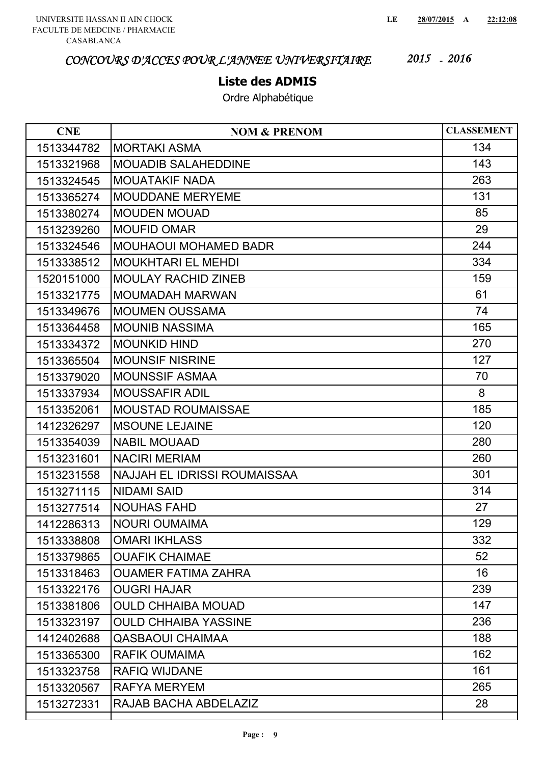### **Liste des ADMIS**

| <b>NOM &amp; PRENOM</b>             | <b>CLASSEMENT</b> |
|-------------------------------------|-------------------|
| <b>MORTAKI ASMA</b>                 | 134               |
| <b>MOUADIB SALAHEDDINE</b>          | 143               |
| <b>MOUATAKIF NADA</b>               | 263               |
| <b>MOUDDANE MERYEME</b>             | 131               |
| <b>MOUDEN MOUAD</b>                 | 85                |
| <b>MOUFID OMAR</b>                  | 29                |
| <b>MOUHAOUI MOHAMED BADR</b>        | 244               |
| <b>MOUKHTARI EL MEHDI</b>           | 334               |
| <b>MOULAY RACHID ZINEB</b>          | 159               |
| MOUMADAH MARWAN                     | 61                |
| <b>MOUMEN OUSSAMA</b>               | 74                |
| <b>MOUNIB NASSIMA</b>               | 165               |
| <b>MOUNKID HIND</b>                 | 270               |
| <b>MOUNSIF NISRINE</b>              | 127               |
| <b>MOUNSSIF ASMAA</b>               | 70                |
| <b>MOUSSAFIR ADIL</b>               | 8                 |
| <b>MOUSTAD ROUMAISSAE</b>           | 185               |
| <b>MSOUNE LEJAINE</b>               | 120               |
| <b>NABIL MOUAAD</b>                 | 280               |
| <b>NACIRI MERIAM</b>                | 260               |
| <b>NAJJAH EL IDRISSI ROUMAISSAA</b> | 301               |
| <b>NIDAMI SAID</b>                  | 314               |
| <b>NOUHAS FAHD</b>                  | 27                |
| <b>NOURI OUMAIMA</b>                | 129               |
| <b>OMARI IKHLASS</b>                | 332               |
| <b>OUAFIK CHAIMAE</b>               | 52                |
| <b>OUAMER FATIMA ZAHRA</b>          | 16                |
| <b>OUGRI HAJAR</b>                  | 239               |
| <b>OULD CHHAIBA MOUAD</b>           | 147               |
| <b>OULD CHHAIBA YASSINE</b>         | 236               |
| <b>QASBAOUI CHAIMAA</b>             | 188               |
| <b>RAFIK OUMAIMA</b>                | 162               |
| <b>RAFIQ WIJDANE</b>                | 161               |
| <b>RAFYA MERYEM</b>                 | 265               |
| RAJAB BACHA ABDELAZIZ               | 28                |
|                                     |                   |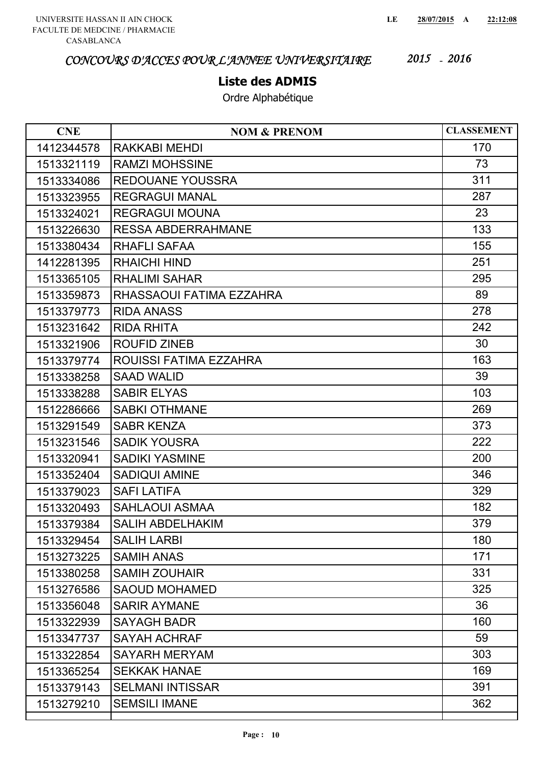### **Liste des ADMIS**

| <b>CNE</b> | <b>NOM &amp; PRENOM</b>   | <b>CLASSEMENT</b> |
|------------|---------------------------|-------------------|
| 1412344578 | RAKKABI MEHDI             | 170               |
| 1513321119 | <b>RAMZI MOHSSINE</b>     | 73                |
| 1513334086 | <b>REDOUANE YOUSSRA</b>   | 311               |
| 1513323955 | <b>REGRAGUI MANAL</b>     | 287               |
| 1513324021 | <b>REGRAGUI MOUNA</b>     | 23                |
| 1513226630 | <b>RESSA ABDERRAHMANE</b> | 133               |
| 1513380434 | <b>RHAFLI SAFAA</b>       | 155               |
| 1412281395 | <b>RHAICHI HIND</b>       | 251               |
| 1513365105 | <b>RHALIMI SAHAR</b>      | 295               |
| 1513359873 | RHASSAOUI FATIMA EZZAHRA  | 89                |
| 1513379773 | <b>RIDA ANASS</b>         | 278               |
| 1513231642 | <b>RIDA RHITA</b>         | 242               |
| 1513321906 | <b>ROUFID ZINEB</b>       | 30                |
| 1513379774 | ROUISSI FATIMA EZZAHRA    | 163               |
| 1513338258 | <b>SAAD WALID</b>         | 39                |
| 1513338288 | <b>SABIR ELYAS</b>        | 103               |
| 1512286666 | <b>SABKI OTHMANE</b>      | 269               |
| 1513291549 | <b>SABR KENZA</b>         | 373               |
| 1513231546 | <b>SADIK YOUSRA</b>       | 222               |
| 1513320941 | <b>SADIKI YASMINE</b>     | 200               |
| 1513352404 | <b>SADIQUI AMINE</b>      | 346               |
| 1513379023 | <b>SAFI LATIFA</b>        | 329               |
| 1513320493 | <b>SAHLAOUI ASMAA</b>     | 182               |
| 1513379384 | <b>SALIH ABDELHAKIM</b>   | 379               |
| 1513329454 | <b>SALIH LARBI</b>        | 180               |
| 1513273225 | <b>SAMIH ANAS</b>         | 171               |
| 1513380258 | <b>SAMIH ZOUHAIR</b>      | 331               |
| 1513276586 | <b>SAOUD MOHAMED</b>      | 325               |
| 1513356048 | <b>SARIR AYMANE</b>       | 36                |
| 1513322939 | <b>SAYAGH BADR</b>        | 160               |
| 1513347737 | <b>SAYAH ACHRAF</b>       | 59                |
| 1513322854 | <b>SAYARH MERYAM</b>      | 303               |
| 1513365254 | <b>SEKKAK HANAE</b>       | 169               |
| 1513379143 | <b>SELMANI INTISSAR</b>   | 391               |
| 1513279210 | <b>SEMSILI IMANE</b>      | 362               |
|            |                           |                   |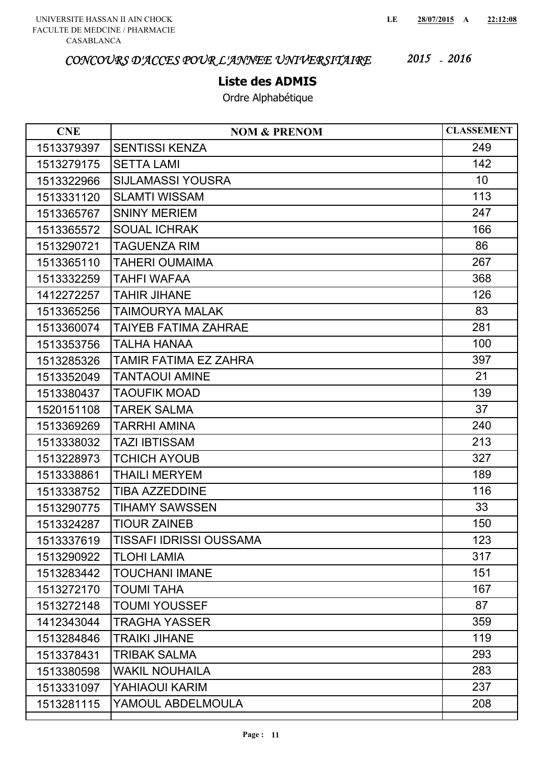### **Liste des ADMIS**

| <b>CNE</b> | <b>NOM &amp; PRENOM</b>        | <b>CLASSEMENT</b> |
|------------|--------------------------------|-------------------|
| 1513379397 | <b>SENTISSI KENZA</b>          | 249               |
| 1513279175 | <b>SETTA LAMI</b>              | 142               |
| 1513322966 | <b>SIJLAMASSI YOUSRA</b>       | 10                |
| 1513331120 | <b>SLAMTI WISSAM</b>           | 113               |
| 1513365767 | <b>SNINY MERIEM</b>            | 247               |
| 1513365572 | <b>SOUAL ICHRAK</b>            | 166               |
| 1513290721 | <b>TAGUENZA RIM</b>            | 86                |
| 1513365110 | TAHERI OUMAIMA                 | 267               |
| 1513332259 | TAHFI WAFAA                    | 368               |
| 1412272257 | <b>TAHIR JIHANE</b>            | 126               |
| 1513365256 | TAIMOURYA MALAK                | 83                |
| 1513360074 | TAIYEB FATIMA ZAHRAE           | 281               |
| 1513353756 | TALHA HANAA                    | 100               |
| 1513285326 | TAMIR FATIMA EZ ZAHRA          | 397               |
| 1513352049 | <b>TANTAOUI AMINE</b>          | 21                |
| 1513380437 | TAOUFIK MOAD                   | 139               |
| 1520151108 | <b>TAREK SALMA</b>             | 37                |
| 1513369269 | TARRHI AMINA                   | 240               |
| 1513338032 | <b>TAZI IBTISSAM</b>           | 213               |
| 1513228973 | <b>TCHICH AYOUB</b>            | 327               |
| 1513338861 | <b>THAILI MERYEM</b>           | 189               |
| 1513338752 | <b>TIBA AZZEDDINE</b>          | 116               |
| 1513290775 | <b>TIHAMY SAWSSEN</b>          | 33                |
| 1513324287 | <b>TIOUR ZAINEB</b>            | 150               |
| 1513337619 | <b>TISSAFI IDRISSI OUSSAMA</b> | 123               |
| 1513290922 | <b>TLOHI LAMIA</b>             | 317               |
| 1513283442 | <b>TOUCHANI IMANE</b>          | 151               |
| 1513272170 | <b>TOUMI TAHA</b>              | 167               |
| 1513272148 | <b>TOUMI YOUSSEF</b>           | 87                |
| 1412343044 | <b>TRAGHA YASSER</b>           | 359               |
| 1513284846 | <b>TRAIKI JIHANE</b>           | 119               |
| 1513378431 | TRIBAK SALMA                   | 293               |
| 1513380598 | <b>WAKIL NOUHAILA</b>          | 283               |
| 1513331097 | YAHIAOUI KARIM                 | 237               |
| 1513281115 | YAMOUL ABDELMOULA              | 208               |